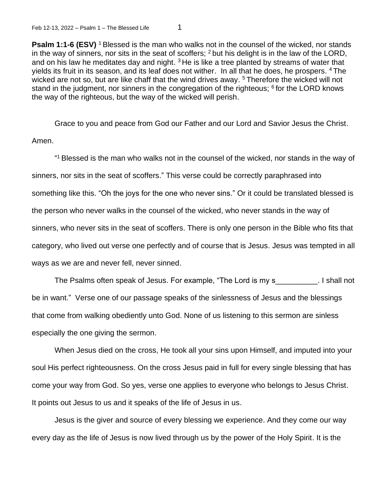**Psalm 1:1-6 (ESV)** <sup>1</sup> Blessed is the man who walks not in the counsel of the wicked, nor stands in the way of sinners, nor sits in the seat of scoffers; <sup>2</sup> but his delight is in the law of the LORD, and on his law he meditates day and night.  $3$  He is like a tree planted by streams of water that yields its fruit in its season, and its leaf does not wither. In all that he does, he prospers. <sup>4</sup>The wicked are not so, but are like chaff that the wind drives away. <sup>5</sup> Therefore the wicked will not stand in the judgment, nor sinners in the congregation of the righteous;  $6$  for the LORD knows the way of the righteous, but the way of the wicked will perish.

Grace to you and peace from God our Father and our Lord and Savior Jesus the Christ. Amen.

" <sup>1</sup>Blessed is the man who walks not in the counsel of the wicked, nor stands in the way of sinners, nor sits in the seat of scoffers." This verse could be correctly paraphrased into something like this. "Oh the joys for the one who never sins." Or it could be translated blessed is the person who never walks in the counsel of the wicked, who never stands in the way of sinners, who never sits in the seat of scoffers. There is only one person in the Bible who fits that category, who lived out verse one perfectly and of course that is Jesus. Jesus was tempted in all ways as we are and never fell, never sinned.

The Psalms often speak of Jesus. For example, "The Lord is my s\_\_\_\_\_\_\_\_\_\_. I shall not be in want." Verse one of our passage speaks of the sinlessness of Jesus and the blessings that come from walking obediently unto God. None of us listening to this sermon are sinless especially the one giving the sermon.

When Jesus died on the cross, He took all your sins upon Himself, and imputed into your soul His perfect righteousness. On the cross Jesus paid in full for every single blessing that has come your way from God. So yes, verse one applies to everyone who belongs to Jesus Christ. It points out Jesus to us and it speaks of the life of Jesus in us.

Jesus is the giver and source of every blessing we experience. And they come our way every day as the life of Jesus is now lived through us by the power of the Holy Spirit. It is the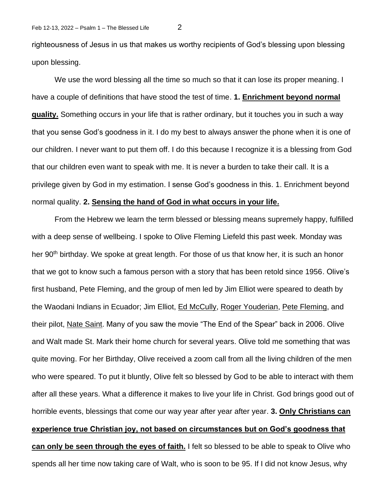righteousness of Jesus in us that makes us worthy recipients of God's blessing upon blessing upon blessing.

We use the word blessing all the time so much so that it can lose its proper meaning. I have a couple of definitions that have stood the test of time. **1. Enrichment beyond normal quality.** Something occurs in your life that is rather ordinary, but it touches you in such a way that you sense God's goodness in it. I do my best to always answer the phone when it is one of our children. I never want to put them off. I do this because I recognize it is a blessing from God that our children even want to speak with me. It is never a burden to take their call. It is a privilege given by God in my estimation. I sense God's goodness in this. 1. Enrichment beyond normal quality. **2. Sensing the hand of God in what occurs in your life.** 

From the Hebrew we learn the term blessed or blessing means supremely happy, fulfilled with a deep sense of wellbeing. I spoke to Olive Fleming Liefeld this past week. Monday was her 90<sup>th</sup> birthday. We spoke at great length. For those of us that know her, it is such an honor that we got to know such a famous person with a story that has been retold since 1956. Olive's first husband, Pete Fleming, and the group of men led by Jim Elliot were speared to death by the Waodani Indians in Ecuador; Jim Elliot, [Ed McCully,](https://en.wikipedia.org/wiki/Ed_McCully) [Roger Youderian,](https://en.wikipedia.org/wiki/Roger_Youderian) [Pete Fleming,](https://en.wikipedia.org/wiki/Pete_Fleming) and their pilot, [Nate Saint.](https://en.wikipedia.org/wiki/Nate_Saint) Many of you saw the movie "The End of the Spear" back in 2006. Olive and Walt made St. Mark their home church for several years. Olive told me something that was quite moving. For her Birthday, Olive received a zoom call from all the living children of the men who were speared. To put it bluntly, Olive felt so blessed by God to be able to interact with them after all these years. What a difference it makes to live your life in Christ. God brings good out of horrible events, blessings that come our way year after year after year. **3. Only Christians can experience true Christian joy, not based on circumstances but on God's goodness that can only be seen through the eyes of faith.** I felt so blessed to be able to speak to Olive who spends all her time now taking care of Walt, who is soon to be 95. If I did not know Jesus, why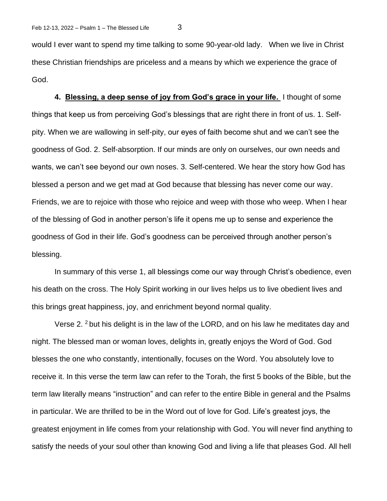would I ever want to spend my time talking to some 90-year-old lady. When we live in Christ these Christian friendships are priceless and a means by which we experience the grace of God.

**4. Blessing, a deep sense of joy from God's grace in your life.** I thought of some things that keep us from perceiving God's blessings that are right there in front of us. 1. Selfpity. When we are wallowing in self-pity, our eyes of faith become shut and we can't see the goodness of God. 2. Self-absorption. If our minds are only on ourselves, our own needs and wants, we can't see beyond our own noses. 3. Self-centered. We hear the story how God has blessed a person and we get mad at God because that blessing has never come our way. Friends, we are to rejoice with those who rejoice and weep with those who weep. When I hear of the blessing of God in another person's life it opens me up to sense and experience the goodness of God in their life. God's goodness can be perceived through another person's blessing.

In summary of this verse 1, all blessings come our way through Christ's obedience, even his death on the cross. The Holy Spirit working in our lives helps us to live obedient lives and this brings great happiness, joy, and enrichment beyond normal quality.

Verse 2. <sup>2</sup> but his delight is in the law of the LORD, and on his law he meditates day and night. The blessed man or woman loves, delights in, greatly enjoys the Word of God. God blesses the one who constantly, intentionally, focuses on the Word. You absolutely love to receive it. In this verse the term law can refer to the Torah, the first 5 books of the Bible, but the term law literally means "instruction" and can refer to the entire Bible in general and the Psalms in particular. We are thrilled to be in the Word out of love for God. Life's greatest joys, the greatest enjoyment in life comes from your relationship with God. You will never find anything to satisfy the needs of your soul other than knowing God and living a life that pleases God. All hell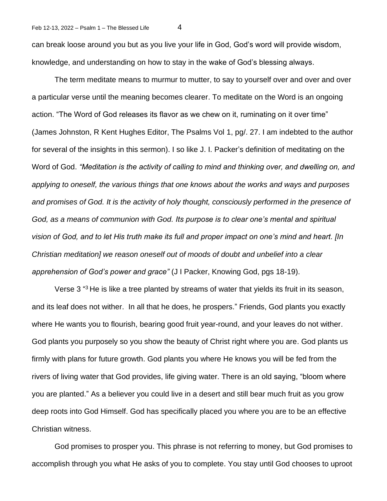can break loose around you but as you live your life in God, God's word will provide wisdom, knowledge, and understanding on how to stay in the wake of God's blessing always.

The term meditate means to murmur to mutter, to say to yourself over and over and over a particular verse until the meaning becomes clearer. To meditate on the Word is an ongoing action. "The Word of God releases its flavor as we chew on it, ruminating on it over time" (James Johnston, R Kent Hughes Editor, The Psalms Vol 1, pg/. 27. I am indebted to the author for several of the insights in this sermon). I so like J. I. Packer's definition of meditating on the Word of God. *"Meditation is the activity of calling to mind and thinking over, and dwelling on, and applying to oneself, the various things that one knows about the works and ways and purposes and promises of God. It is the activity of holy thought, consciously performed in the presence of God, as a means of communion with God. Its purpose is to clear one's mental and spiritual vision of God, and to let His truth make its full and proper impact on one's mind and heart. [In Christian meditation] we reason oneself out of moods of doubt and unbelief into a clear apprehension of God's power and grace"* (J I Packer, Knowing God, pgs 18-19).

Verse 3<sup>43</sup> He is like a tree planted by streams of water that yields its fruit in its season, and its leaf does not wither. In all that he does, he prospers." Friends, God plants you exactly where He wants you to flourish, bearing good fruit year-round, and your leaves do not wither. God plants you purposely so you show the beauty of Christ right where you are. God plants us firmly with plans for future growth. God plants you where He knows you will be fed from the rivers of living water that God provides, life giving water. There is an old saying, "bloom where you are planted." As a believer you could live in a desert and still bear much fruit as you grow deep roots into God Himself. God has specifically placed you where you are to be an effective Christian witness.

God promises to prosper you. This phrase is not referring to money, but God promises to accomplish through you what He asks of you to complete. You stay until God chooses to uproot